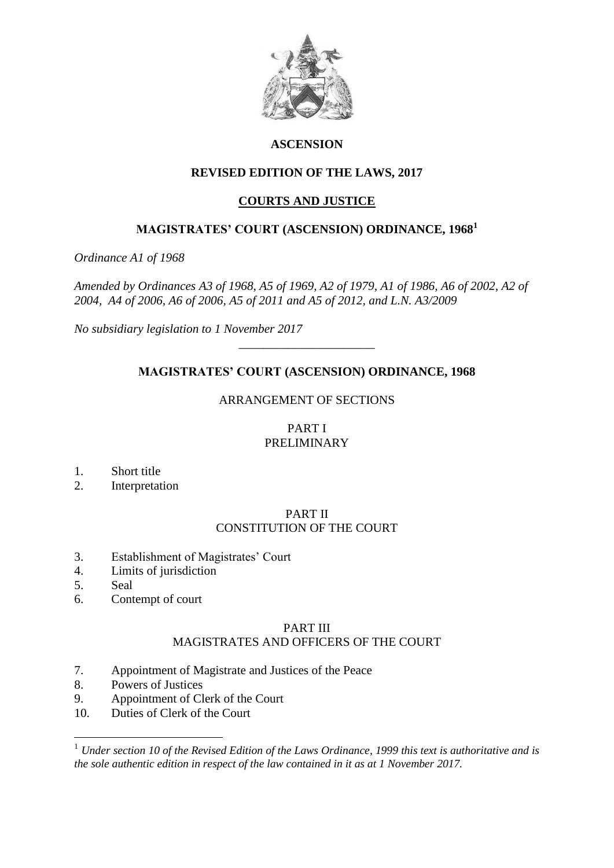

## **ASCENSION**

# **REVISED EDITION OF THE LAWS, 2017**

# **COURTS AND JUSTICE**

# **MAGISTRATES' COURT (ASCENSION) ORDINANCE, 1968<sup>1</sup>**

*Ordinance A1 of 1968*

*Amended by Ordinances A3 of 1968, A5 of 1969, A2 of 1979, A1 of 1986, A6 of 2002, A2 of 2004, A4 of 2006, A6 of 2006, A5 of 2011 and A5 of 2012, and L.N. A3/2009*

*No subsidiary legislation to 1 November 2017*

# **MAGISTRATES' COURT (ASCENSION) ORDINANCE, 1968**

*\_\_\_\_\_\_\_\_\_\_\_\_\_\_\_\_\_\_\_\_\_\_*

# ARRANGEMENT OF SECTIONS

# PART I PRELIMINARY

- 1. Short title
- 2. Interpretation

#### PART II CONSTITUTION OF THE COURT

- 3. Establishment of Magistrates' Court
- 4. Limits of jurisdiction
- 5. Seal

<u>.</u>

6. Contempt of court

# PART III

# MAGISTRATES AND OFFICERS OF THE COURT

- 7. Appointment of Magistrate and Justices of the Peace
- 8. Powers of Justices
- 9. Appointment of Clerk of the Court
- 10. Duties of Clerk of the Court

<sup>1</sup> *Under section 10 of the Revised Edition of the Laws Ordinance, 1999 this text is authoritative and is the sole authentic edition in respect of the law contained in it as at 1 November 2017.*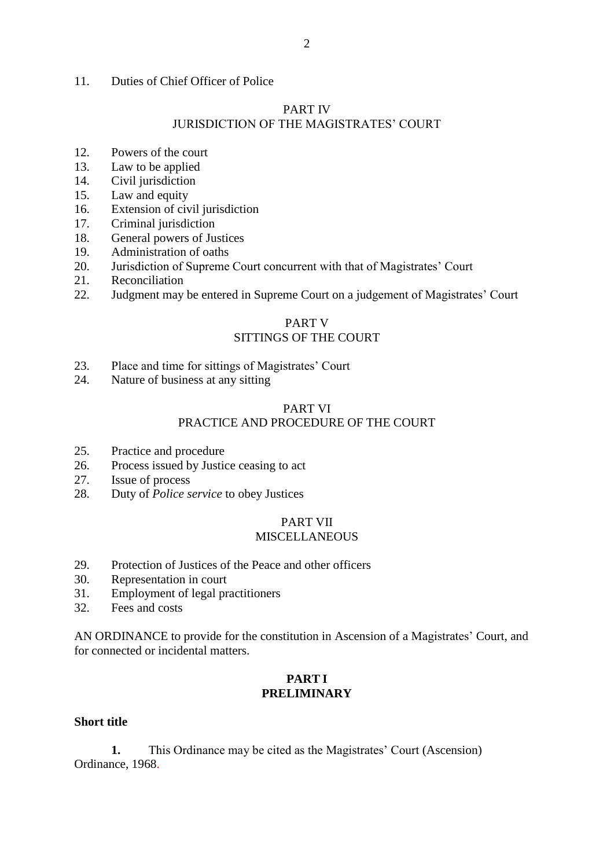#### 11. Duties of Chief Officer of Police

### PART IV

# JURISDICTION OF THE MAGISTRATES' COURT

- 12. Powers of the court
- 13. Law to be applied
- 14. Civil jurisdiction
- 15. Law and equity
- 16. Extension of civil jurisdiction
- 17. Criminal jurisdiction
- 18. General powers of Justices
- 19. Administration of oaths
- 20. Jurisdiction of Supreme Court concurrent with that of Magistrates' Court
- 21. Reconciliation
- 22. Judgment may be entered in Supreme Court on a judgement of Magistrates' Court

# PART V SITTINGS OF THE COURT

- 23. Place and time for sittings of Magistrates' Court
- 24. Nature of business at any sitting

### PART VI

## PRACTICE AND PROCEDURE OF THE COURT

- 25. Practice and procedure
- 26. Process issued by Justice ceasing to act
- 27. Issue of process
- 28. Duty of *Police service* to obey Justices

#### PART VII **MISCELLANEOUS**

- 29. Protection of Justices of the Peace and other officers
- 30. Representation in court
- 31. Employment of legal practitioners
- 32. Fees and costs

AN ORDINANCE to provide for the constitution in Ascension of a Magistrates' Court, and for connected or incidental matters.

## **PART I PRELIMINARY**

### **Short title**

**1.** This Ordinance may be cited as the Magistrates' Court (Ascension) Ordinance, 1968.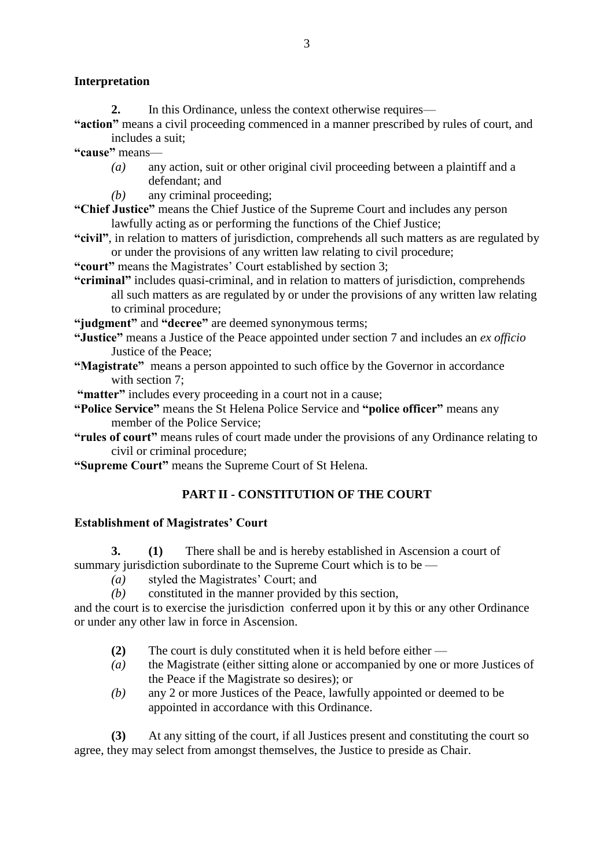## **Interpretation**

**2.** In this Ordinance, unless the context otherwise requires—

**"action"** means a civil proceeding commenced in a manner prescribed by rules of court, and includes a suit;

**"cause"** means—

- *(a)* any action, suit or other original civil proceeding between a plaintiff and a defendant; and
- *(b)* any criminal proceeding;

**"Chief Justice"** means the Chief Justice of the Supreme Court and includes any person lawfully acting as or performing the functions of the Chief Justice;

**"civil"**, in relation to matters of jurisdiction, comprehends all such matters as are regulated by or under the provisions of any written law relating to civil procedure;

**"court"** means the Magistrates' Court established by section 3;

**"criminal"** includes quasi-criminal, and in relation to matters of jurisdiction, comprehends all such matters as are regulated by or under the provisions of any written law relating to criminal procedure;

**"judgment"** and **"decree"** are deemed synonymous terms;

- **"Justice"** means a Justice of the Peace appointed under section 7 and includes an *ex officio* Justice of the Peace;
- **"Magistrate"** means a person appointed to such office by the Governor in accordance with section 7:

**"matter"** includes every proceeding in a court not in a cause;

- **"Police Service"** means the St Helena Police Service and **"police officer"** means any member of the Police Service;
- **"rules of court"** means rules of court made under the provisions of any Ordinance relating to civil or criminal procedure;

**"Supreme Court"** means the Supreme Court of St Helena.

## **PART II - CONSTITUTION OF THE COURT**

## **Establishment of Magistrates' Court**

**3. (1)** There shall be and is hereby established in Ascension a court of summary jurisdiction subordinate to the Supreme Court which is to be -

- *(a)* styled the Magistrates' Court; and
- *(b)* constituted in the manner provided by this section,

and the court is to exercise the jurisdiction conferred upon it by this or any other Ordinance or under any other law in force in Ascension.

- **(2)** The court is duly constituted when it is held before either —
- *(a)* the Magistrate (either sitting alone or accompanied by one or more Justices of the Peace if the Magistrate so desires); or
- *(b)* any 2 or more Justices of the Peace, lawfully appointed or deemed to be appointed in accordance with this Ordinance.

**(3)** At any sitting of the court, if all Justices present and constituting the court so agree, they may select from amongst themselves, the Justice to preside as Chair.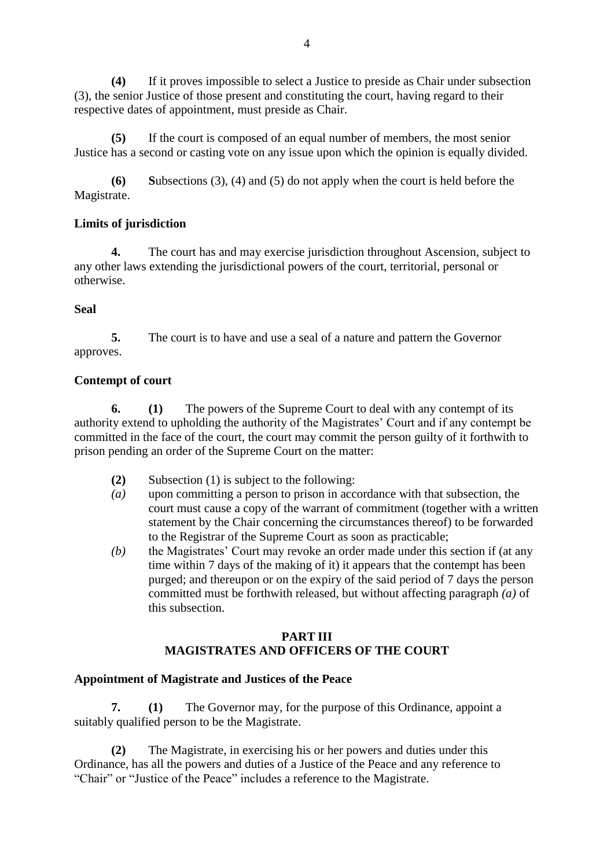**(4)** If it proves impossible to select a Justice to preside as Chair under subsection (3), the senior Justice of those present and constituting the court, having regard to their respective dates of appointment, must preside as Chair.

**(5)** If the court is composed of an equal number of members, the most senior Justice has a second or casting vote on any issue upon which the opinion is equally divided.

**(6) S**ubsections (3), (4) and (5) do not apply when the court is held before the Magistrate.

## **Limits of jurisdiction**

**4.** The court has and may exercise jurisdiction throughout Ascension, subject to any other laws extending the jurisdictional powers of the court, territorial, personal or otherwise.

### **Seal**

**5.** The court is to have and use a seal of a nature and pattern the Governor approves.

### **Contempt of court**

**6. (1)** The powers of the Supreme Court to deal with any contempt of its authority extend to upholding the authority of the Magistrates' Court and if any contempt be committed in the face of the court, the court may commit the person guilty of it forthwith to prison pending an order of the Supreme Court on the matter:

- **(2)** Subsection (1) is subject to the following:
- *(a)* upon committing a person to prison in accordance with that subsection, the court must cause a copy of the warrant of commitment (together with a written statement by the Chair concerning the circumstances thereof) to be forwarded to the Registrar of the Supreme Court as soon as practicable;
- *(b)* the Magistrates' Court may revoke an order made under this section if (at any time within 7 days of the making of it) it appears that the contempt has been purged; and thereupon or on the expiry of the said period of 7 days the person committed must be forthwith released, but without affecting paragraph *(a)* of this subsection.

### **PART III MAGISTRATES AND OFFICERS OF THE COURT**

### **Appointment of Magistrate and Justices of the Peace**

**7. (1)** The Governor may, for the purpose of this Ordinance, appoint a suitably qualified person to be the Magistrate.

**(2)** The Magistrate, in exercising his or her powers and duties under this Ordinance, has all the powers and duties of a Justice of the Peace and any reference to "Chair" or "Justice of the Peace" includes a reference to the Magistrate.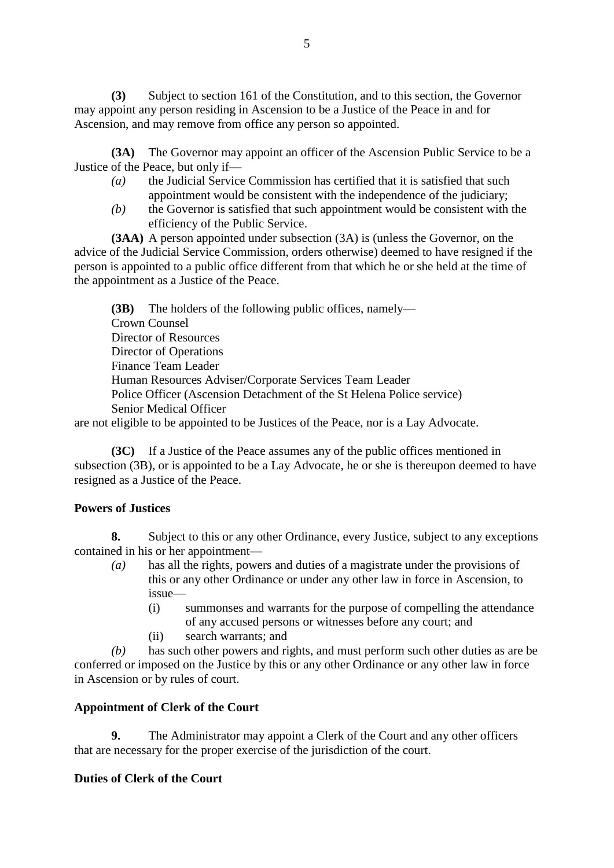**(3)** Subject to section 161 of the Constitution, and to this section, the Governor may appoint any person residing in Ascension to be a Justice of the Peace in and for Ascension, and may remove from office any person so appointed.

**(3A)** The Governor may appoint an officer of the Ascension Public Service to be a Justice of the Peace, but only if—

- *(a)* the Judicial Service Commission has certified that it is satisfied that such appointment would be consistent with the independence of the judiciary;
- *(b)* the Governor is satisfied that such appointment would be consistent with the efficiency of the Public Service.

**(3AA)** A person appointed under subsection (3A) is (unless the Governor, on the advice of the Judicial Service Commission, orders otherwise) deemed to have resigned if the person is appointed to a public office different from that which he or she held at the time of the appointment as a Justice of the Peace.

**(3B)** The holders of the following public offices, namely— Crown Counsel Director of Resources Director of Operations Finance Team Leader Human Resources Adviser/Corporate Services Team Leader Police Officer (Ascension Detachment of the St Helena Police service) Senior Medical Officer

are not eligible to be appointed to be Justices of the Peace, nor is a Lay Advocate.

**(3C)** If a Justice of the Peace assumes any of the public offices mentioned in subsection (3B), or is appointed to be a Lay Advocate, he or she is thereupon deemed to have resigned as a Justice of the Peace.

## **Powers of Justices**

**8.** Subject to this or any other Ordinance, every Justice, subject to any exceptions contained in his or her appointment—

- *(a)* has all the rights, powers and duties of a magistrate under the provisions of this or any other Ordinance or under any other law in force in Ascension, to issue—
	- (i) summonses and warrants for the purpose of compelling the attendance of any accused persons or witnesses before any court; and
	- (ii) search warrants; and

*(b)* has such other powers and rights, and must perform such other duties as are be conferred or imposed on the Justice by this or any other Ordinance or any other law in force in Ascension or by rules of court.

## **Appointment of Clerk of the Court**

**9.** The Administrator may appoint a Clerk of the Court and any other officers that are necessary for the proper exercise of the jurisdiction of the court.

## **Duties of Clerk of the Court**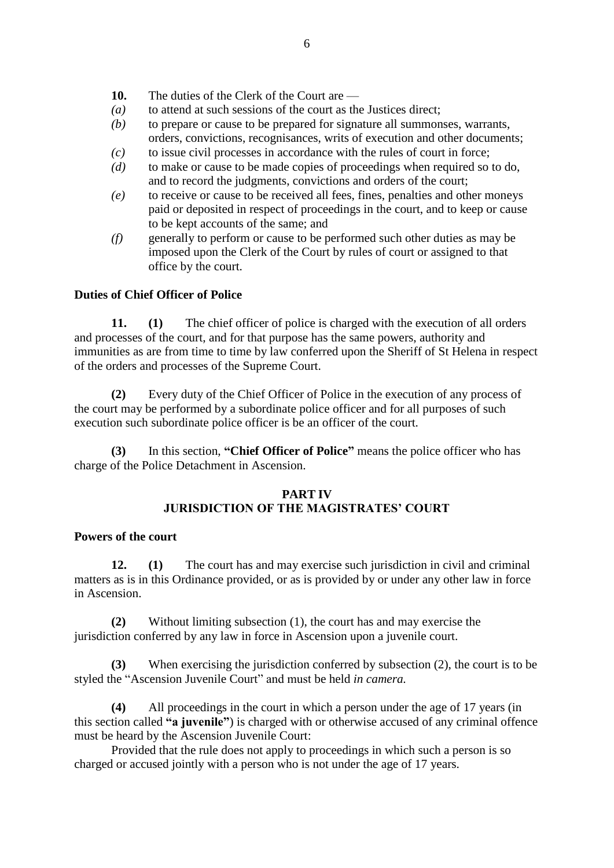- **10.** The duties of the Clerk of the Court are —
- *(a)* to attend at such sessions of the court as the Justices direct;
- *(b)* to prepare or cause to be prepared for signature all summonses, warrants, orders, convictions, recognisances, writs of execution and other documents;
- *(c)* to issue civil processes in accordance with the rules of court in force;
- *(d)* to make or cause to be made copies of proceedings when required so to do, and to record the judgments, convictions and orders of the court;
- *(e)* to receive or cause to be received all fees, fines, penalties and other moneys paid or deposited in respect of proceedings in the court, and to keep or cause to be kept accounts of the same; and
- *(f)* generally to perform or cause to be performed such other duties as may be imposed upon the Clerk of the Court by rules of court or assigned to that office by the court.

### **Duties of Chief Officer of Police**

**11. (1)** The chief officer of police is charged with the execution of all orders and processes of the court, and for that purpose has the same powers, authority and immunities as are from time to time by law conferred upon the Sheriff of St Helena in respect of the orders and processes of the Supreme Court.

**(2)** Every duty of the Chief Officer of Police in the execution of any process of the court may be performed by a subordinate police officer and for all purposes of such execution such subordinate police officer is be an officer of the court.

**(3)** In this section, **"Chief Officer of Police"** means the police officer who has charge of the Police Detachment in Ascension.

### **PART IV JURISDICTION OF THE MAGISTRATES' COURT**

### **Powers of the court**

**12. (1)** The court has and may exercise such jurisdiction in civil and criminal matters as is in this Ordinance provided, or as is provided by or under any other law in force in Ascension.

**(2)** Without limiting subsection (1), the court has and may exercise the jurisdiction conferred by any law in force in Ascension upon a juvenile court.

**(3)** When exercising the jurisdiction conferred by subsection (2), the court is to be styled the "Ascension Juvenile Court" and must be held *in camera.*

**(4)** All proceedings in the court in which a person under the age of 17 years (in this section called **"a juvenile"**) is charged with or otherwise accused of any criminal offence must be heard by the Ascension Juvenile Court:

Provided that the rule does not apply to proceedings in which such a person is so charged or accused jointly with a person who is not under the age of 17 years.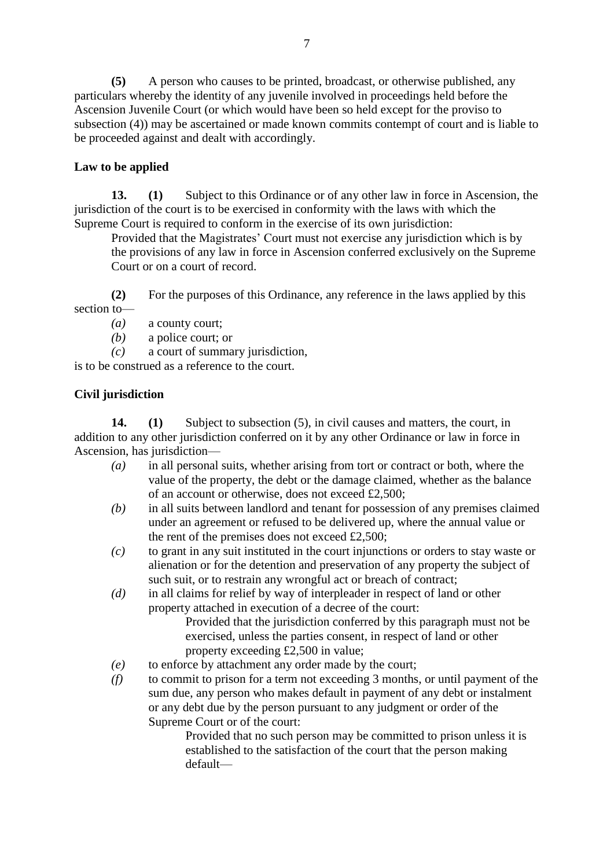**(5)** A person who causes to be printed, broadcast, or otherwise published, any particulars whereby the identity of any juvenile involved in proceedings held before the Ascension Juvenile Court (or which would have been so held except for the proviso to subsection (4)) may be ascertained or made known commits contempt of court and is liable to be proceeded against and dealt with accordingly.

# **Law to be applied**

**13. (1)** Subject to this Ordinance or of any other law in force in Ascension, the jurisdiction of the court is to be exercised in conformity with the laws with which the Supreme Court is required to conform in the exercise of its own jurisdiction:

Provided that the Magistrates' Court must not exercise any jurisdiction which is by the provisions of any law in force in Ascension conferred exclusively on the Supreme Court or on a court of record.

**(2)** For the purposes of this Ordinance, any reference in the laws applied by this section to—

*(a)* a county court;

*(b)* a police court; or

*(c)* a court of summary jurisdiction,

is to be construed as a reference to the court.

# **Civil jurisdiction**

**14. (1)** Subject to subsection (5), in civil causes and matters, the court, in addition to any other jurisdiction conferred on it by any other Ordinance or law in force in Ascension, has jurisdiction—

- *(a)* in all personal suits, whether arising from tort or contract or both, where the value of the property, the debt or the damage claimed, whether as the balance of an account or otherwise, does not exceed £2,500;
- *(b)* in all suits between landlord and tenant for possession of any premises claimed under an agreement or refused to be delivered up, where the annual value or the rent of the premises does not exceed £2,500;
- *(c)* to grant in any suit instituted in the court injunctions or orders to stay waste or alienation or for the detention and preservation of any property the subject of such suit, or to restrain any wrongful act or breach of contract;
- *(d)* in all claims for relief by way of interpleader in respect of land or other property attached in execution of a decree of the court:

Provided that the jurisdiction conferred by this paragraph must not be exercised, unless the parties consent, in respect of land or other property exceeding £2,500 in value;

- *(e)* to enforce by attachment any order made by the court;
- *(f)* to commit to prison for a term not exceeding 3 months, or until payment of the sum due, any person who makes default in payment of any debt or instalment or any debt due by the person pursuant to any judgment or order of the Supreme Court or of the court:

Provided that no such person may be committed to prison unless it is established to the satisfaction of the court that the person making default—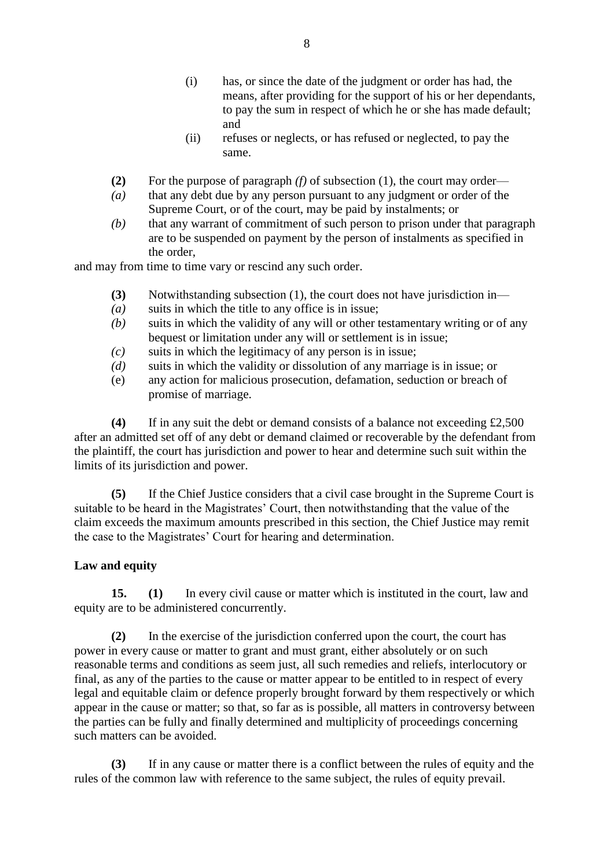- (i) has, or since the date of the judgment or order has had, the means, after providing for the support of his or her dependants, to pay the sum in respect of which he or she has made default; and
- (ii) refuses or neglects, or has refused or neglected, to pay the same.
- **(2)** For the purpose of paragraph *(f)* of subsection (1), the court may order—
- *(a)* that any debt due by any person pursuant to any judgment or order of the Supreme Court, or of the court, may be paid by instalments; or
- *(b)* that any warrant of commitment of such person to prison under that paragraph are to be suspended on payment by the person of instalments as specified in the order,

and may from time to time vary or rescind any such order.

- **(3)** Notwithstanding subsection (1), the court does not have jurisdiction in—
- *(a)* suits in which the title to any office is in issue;
- *(b)* suits in which the validity of any will or other testamentary writing or of any bequest or limitation under any will or settlement is in issue;
- *(c)* suits in which the legitimacy of any person is in issue;
- *(d)* suits in which the validity or dissolution of any marriage is in issue; or
- (e) any action for malicious prosecution, defamation, seduction or breach of promise of marriage.

**(4)** If in any suit the debt or demand consists of a balance not exceeding £2,500 after an admitted set off of any debt or demand claimed or recoverable by the defendant from the plaintiff, the court has jurisdiction and power to hear and determine such suit within the limits of its jurisdiction and power.

**(5)** If the Chief Justice considers that a civil case brought in the Supreme Court is suitable to be heard in the Magistrates' Court, then notwithstanding that the value of the claim exceeds the maximum amounts prescribed in this section, the Chief Justice may remit the case to the Magistrates' Court for hearing and determination.

### **Law and equity**

**15. (1)** In every civil cause or matter which is instituted in the court, law and equity are to be administered concurrently.

**(2)** In the exercise of the jurisdiction conferred upon the court, the court has power in every cause or matter to grant and must grant, either absolutely or on such reasonable terms and conditions as seem just, all such remedies and reliefs, interlocutory or final, as any of the parties to the cause or matter appear to be entitled to in respect of every legal and equitable claim or defence properly brought forward by them respectively or which appear in the cause or matter; so that, so far as is possible, all matters in controversy between the parties can be fully and finally determined and multiplicity of proceedings concerning such matters can be avoided.

**(3)** If in any cause or matter there is a conflict between the rules of equity and the rules of the common law with reference to the same subject, the rules of equity prevail.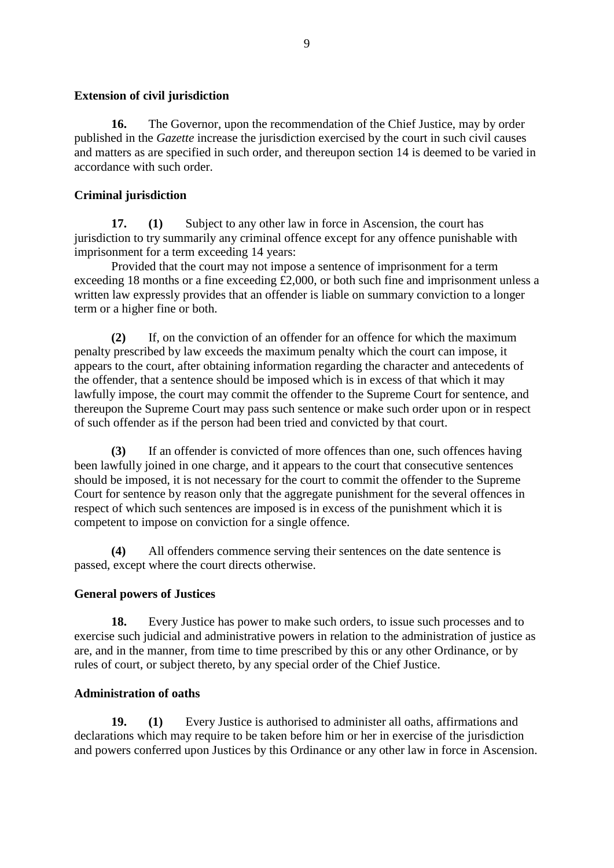### **Extension of civil jurisdiction**

**16.** The Governor, upon the recommendation of the Chief Justice, may by order published in the *Gazette* increase the jurisdiction exercised by the court in such civil causes and matters as are specified in such order, and thereupon section 14 is deemed to be varied in accordance with such order.

## **Criminal jurisdiction**

**17. (1)** Subject to any other law in force in Ascension, the court has jurisdiction to try summarily any criminal offence except for any offence punishable with imprisonment for a term exceeding 14 years:

Provided that the court may not impose a sentence of imprisonment for a term exceeding 18 months or a fine exceeding £2,000, or both such fine and imprisonment unless a written law expressly provides that an offender is liable on summary conviction to a longer term or a higher fine or both.

**(2)** If, on the conviction of an offender for an offence for which the maximum penalty prescribed by law exceeds the maximum penalty which the court can impose, it appears to the court, after obtaining information regarding the character and antecedents of the offender, that a sentence should be imposed which is in excess of that which it may lawfully impose, the court may commit the offender to the Supreme Court for sentence, and thereupon the Supreme Court may pass such sentence or make such order upon or in respect of such offender as if the person had been tried and convicted by that court.

**(3)** If an offender is convicted of more offences than one, such offences having been lawfully joined in one charge, and it appears to the court that consecutive sentences should be imposed, it is not necessary for the court to commit the offender to the Supreme Court for sentence by reason only that the aggregate punishment for the several offences in respect of which such sentences are imposed is in excess of the punishment which it is competent to impose on conviction for a single offence.

**(4)** All offenders commence serving their sentences on the date sentence is passed, except where the court directs otherwise.

## **General powers of Justices**

**18.** Every Justice has power to make such orders, to issue such processes and to exercise such judicial and administrative powers in relation to the administration of justice as are, and in the manner, from time to time prescribed by this or any other Ordinance, or by rules of court, or subject thereto, by any special order of the Chief Justice.

## **Administration of oaths**

**19. (1)** Every Justice is authorised to administer all oaths, affirmations and declarations which may require to be taken before him or her in exercise of the jurisdiction and powers conferred upon Justices by this Ordinance or any other law in force in Ascension.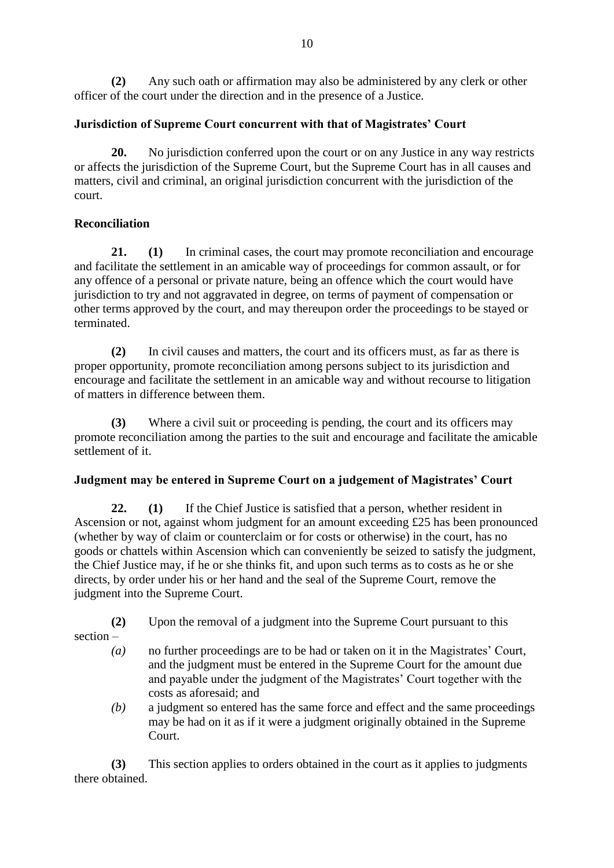**(2)** Any such oath or affirmation may also be administered by any clerk or other officer of the court under the direction and in the presence of a Justice.

# **Jurisdiction of Supreme Court concurrent with that of Magistrates' Court**

**20.** No jurisdiction conferred upon the court or on any Justice in any way restricts or affects the jurisdiction of the Supreme Court, but the Supreme Court has in all causes and matters, civil and criminal, an original jurisdiction concurrent with the jurisdiction of the court.

# **Reconciliation**

**21. (1)** In criminal cases, the court may promote reconciliation and encourage and facilitate the settlement in an amicable way of proceedings for common assault, or for any offence of a personal or private nature, being an offence which the court would have jurisdiction to try and not aggravated in degree, on terms of payment of compensation or other terms approved by the court, and may thereupon order the proceedings to be stayed or terminated.

**(2)** In civil causes and matters, the court and its officers must, as far as there is proper opportunity, promote reconciliation among persons subject to its jurisdiction and encourage and facilitate the settlement in an amicable way and without recourse to litigation of matters in difference between them.

**(3)** Where a civil suit or proceeding is pending, the court and its officers may promote reconciliation among the parties to the suit and encourage and facilitate the amicable settlement of it.

## **Judgment may be entered in Supreme Court on a judgement of Magistrates' Court**

**22. (1)** If the Chief Justice is satisfied that a person, whether resident in Ascension or not, against whom judgment for an amount exceeding £25 has been pronounced (whether by way of claim or counterclaim or for costs or otherwise) in the court, has no goods or chattels within Ascension which can conveniently be seized to satisfy the judgment, the Chief Justice may, if he or she thinks fit, and upon such terms as to costs as he or she directs, by order under his or her hand and the seal of the Supreme Court, remove the judgment into the Supreme Court.

**(2)** Upon the removal of a judgment into the Supreme Court pursuant to this section –

- *(a)* no further proceedings are to be had or taken on it in the Magistrates' Court, and the judgment must be entered in the Supreme Court for the amount due and payable under the judgment of the Magistrates' Court together with the costs as aforesaid; and
- *(b)* a judgment so entered has the same force and effect and the same proceedings may be had on it as if it were a judgment originally obtained in the Supreme Court.

**(3)** This section applies to orders obtained in the court as it applies to judgments there obtained.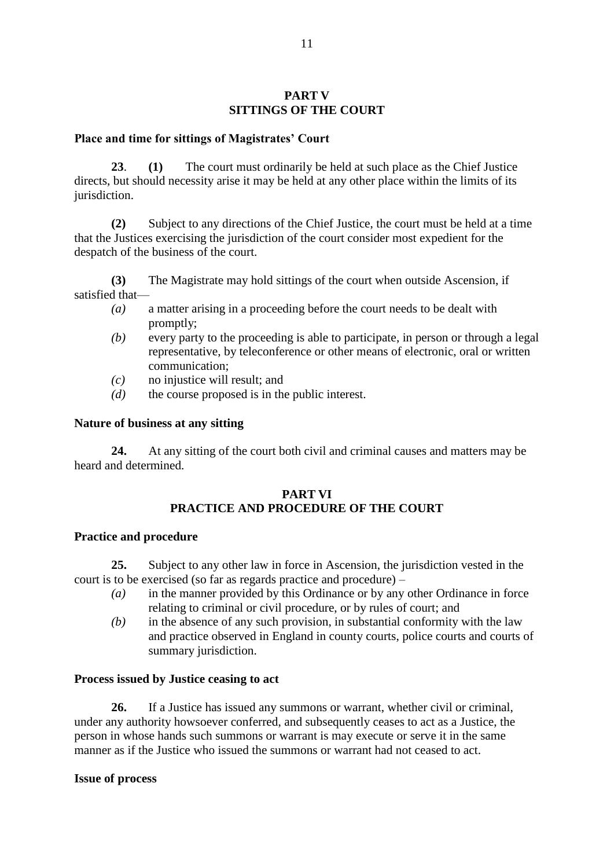#### **PART V SITTINGS OF THE COURT**

#### **Place and time for sittings of Magistrates' Court**

**23**. **(1)** The court must ordinarily be held at such place as the Chief Justice directs, but should necessity arise it may be held at any other place within the limits of its jurisdiction.

**(2)** Subject to any directions of the Chief Justice, the court must be held at a time that the Justices exercising the jurisdiction of the court consider most expedient for the despatch of the business of the court.

**(3)** The Magistrate may hold sittings of the court when outside Ascension, if satisfied that—

- *(a)* a matter arising in a proceeding before the court needs to be dealt with promptly;
- *(b)* every party to the proceeding is able to participate, in person or through a legal representative, by teleconference or other means of electronic, oral or written communication;
- *(c)* no injustice will result; and
- *(d)* the course proposed is in the public interest.

### **Nature of business at any sitting**

**24.** At any sitting of the court both civil and criminal causes and matters may be heard and determined.

#### **PART VI PRACTICE AND PROCEDURE OF THE COURT**

#### **Practice and procedure**

**25.** Subject to any other law in force in Ascension, the jurisdiction vested in the court is to be exercised (so far as regards practice and procedure) –

- *(a)* in the manner provided by this Ordinance or by any other Ordinance in force relating to criminal or civil procedure, or by rules of court; and
- *(b)* in the absence of any such provision, in substantial conformity with the law and practice observed in England in county courts, police courts and courts of summary jurisdiction.

#### **Process issued by Justice ceasing to act**

**26.** If a Justice has issued any summons or warrant, whether civil or criminal, under any authority howsoever conferred, and subsequently ceases to act as a Justice, the person in whose hands such summons or warrant is may execute or serve it in the same manner as if the Justice who issued the summons or warrant had not ceased to act.

#### **Issue of process**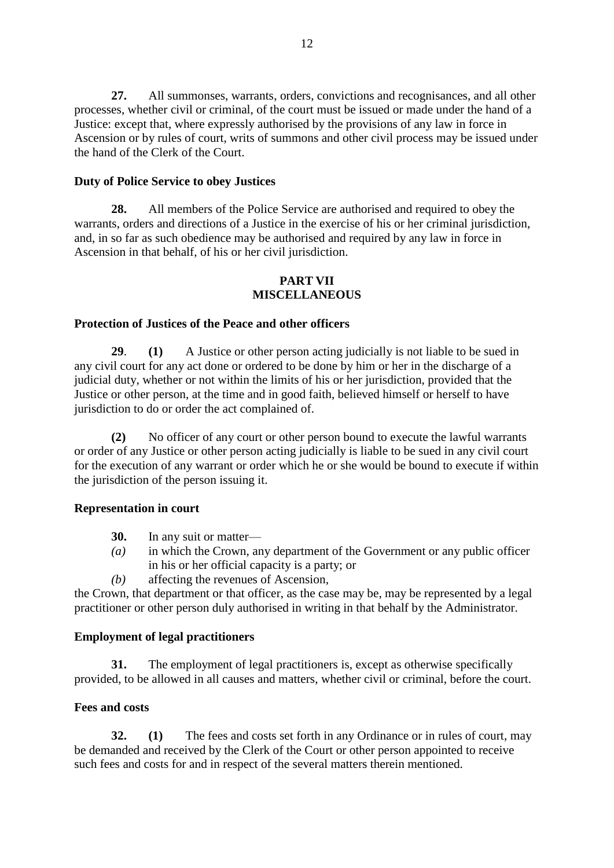**27.** All summonses, warrants, orders, convictions and recognisances, and all other processes, whether civil or criminal, of the court must be issued or made under the hand of a Justice: except that, where expressly authorised by the provisions of any law in force in Ascension or by rules of court, writs of summons and other civil process may be issued under the hand of the Clerk of the Court.

### **Duty of Police Service to obey Justices**

**28.** All members of the Police Service are authorised and required to obey the warrants, orders and directions of a Justice in the exercise of his or her criminal jurisdiction, and, in so far as such obedience may be authorised and required by any law in force in Ascension in that behalf, of his or her civil jurisdiction.

#### **PART VII MISCELLANEOUS**

#### **Protection of Justices of the Peace and other officers**

**29**. **(1)** A Justice or other person acting judicially is not liable to be sued in any civil court for any act done or ordered to be done by him or her in the discharge of a judicial duty, whether or not within the limits of his or her jurisdiction, provided that the Justice or other person, at the time and in good faith, believed himself or herself to have jurisdiction to do or order the act complained of.

**(2)** No officer of any court or other person bound to execute the lawful warrants or order of any Justice or other person acting judicially is liable to be sued in any civil court for the execution of any warrant or order which he or she would be bound to execute if within the jurisdiction of the person issuing it.

#### **Representation in court**

- **30.** In any suit or matter—
- *(a)* in which the Crown, any department of the Government or any public officer in his or her official capacity is a party; or
- *(b)* affecting the revenues of Ascension,

the Crown, that department or that officer, as the case may be, may be represented by a legal practitioner or other person duly authorised in writing in that behalf by the Administrator.

#### **Employment of legal practitioners**

**31.** The employment of legal practitioners is, except as otherwise specifically provided, to be allowed in all causes and matters, whether civil or criminal, before the court.

#### **Fees and costs**

**32. (1)** The fees and costs set forth in any Ordinance or in rules of court, may be demanded and received by the Clerk of the Court or other person appointed to receive such fees and costs for and in respect of the several matters therein mentioned.